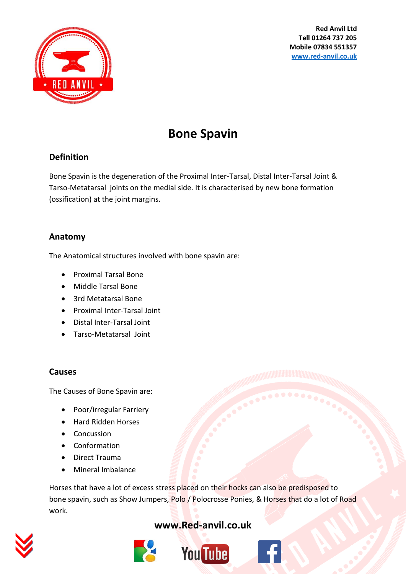

**Red Anvil Ltd Tell 01264 737 205 Mobile 07834 551357 [www.red-anvil.co.uk](http://www.red-anvil.co.uk/)**

# **Bone Spavin**

# **Definition**

Bone Spavin is the degeneration of the Proximal Inter-Tarsal, Distal Inter-Tarsal Joint & Tarso-Metatarsal joints on the medial side. It is characterised by new bone formation (ossification) at the joint margins.

#### **Anatomy**

The Anatomical structures involved with bone spavin are:

- Proximal Tarsal Bone
- Middle Tarsal Bone
- 3rd Metatarsal Bone
- Proximal Inter-Tarsal Joint
- Distal Inter-Tarsal Joint
- Tarso-Metatarsal Joint

#### **Causes**

The Causes of Bone Spavin are:

- Poor/irregular Farriery
- Hard Ridden Horses
- Concussion
- Conformation
- Direct Trauma
- Mineral Imbalance

Horses that have a lot of excess stress placed on their hocks can also be predisposed to bone spavin, such as Show Jumpers, Polo / Polocrosse Ponies, & Horses that do a lot of Road work.



# **[www.Red-anvil.co.uk](http://www.red-anvil.co.uk/)**



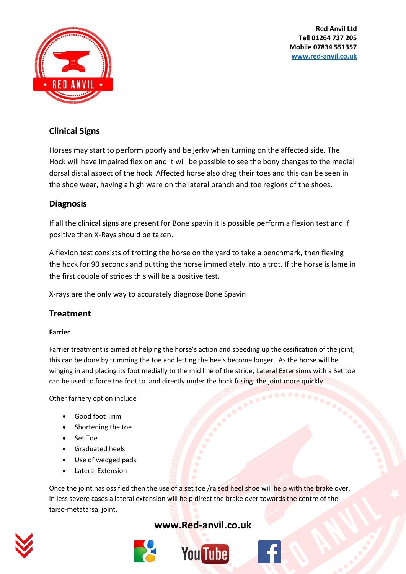**Red Anvil Ltd Tell 01264 737 205 Mobile 07834 551357 [www.red-anvil.co.uk](http://www.red-anvil.co.uk/)**



### **Clinical Signs**

Horses may start to perform poorly and be jerky when turning on the affected side. The Hock will have impaired flexion and it will be possible to see the bony changes to the medial dorsal distal aspect of the hock. Affected horse also drag their toes and this can be seen in the shoe wear, having a high ware on the lateral branch and toe regions of the shoes.

# **Diagnosis**

If all the clinical signs are present for Bone spavin it is possible perform a flexion test and if positive then X-Rays should be taken.

A flexion test consists of trotting the horse on the yard to take a benchmark, then flexing the hock for 90 seconds and putting the horse immediately into a trot. If the horse is lame in the first couple of strides this will be a positive test.

X-rays are the only way to accurately diagnose Bone Spavin

#### **Treatment**

#### **Farrier**

Farrier treatment is aimed at helping the horse's action and speeding up the ossification of the joint, this can be done by trimming the toe and letting the heels become longer. As the horse will be winging in and placing its foot medially to the mid line of the stride, Lateral Extensions with a Set toe can be used to force the foot to land directly under the hock fusing the joint more quickly.

Other farriery option include

- Good foot Trim
- Shortening the toe
- Set Toe
- **•** Graduated heels
- Use of wedged pads
- Lateral Extension

Once the joint has ossified then the use of a set toe /raised heel shoe will help with the brake over, in less severe cases a lateral extension will help direct the brake over towards the centre of the tarso-metatarsal joint.